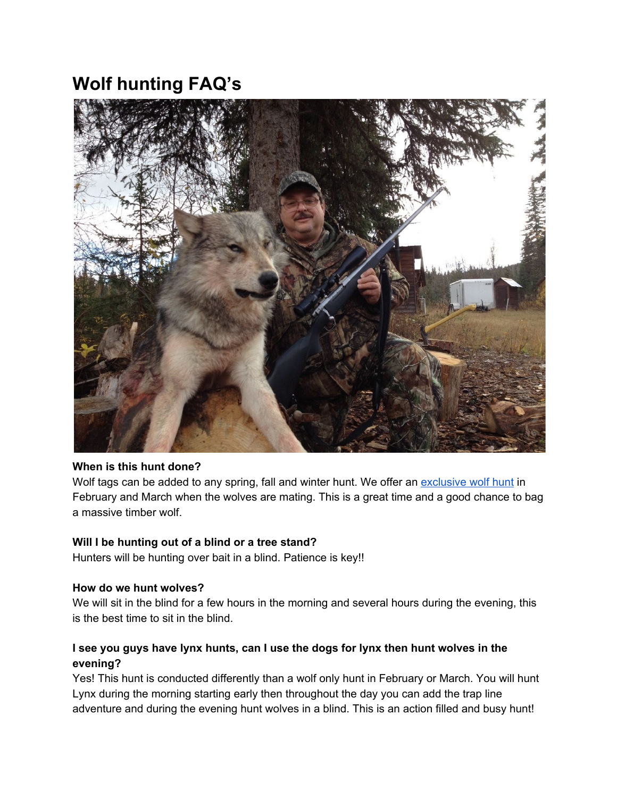# **Wolf hunting FAQ's**



#### **When is this hunt done?**

Wolf tags can be added to any spring, fall and winter hunt. We offer an [exclusive](http://toaltd.com/project/wolf/) wolf hunt in February and March when the wolves are mating. This is a great time and a good chance to bag a massive timber wolf.

#### **Will I be hunting out of a blind or a tree stand?**

Hunters will be hunting over bait in a blind. Patience is key!!

#### **How do we hunt wolves?**

We will sit in the blind for a few hours in the morning and several hours during the evening, this is the best time to sit in the blind.

# **I see you guys have lynx hunts, can I use the dogs for lynx then hunt wolves in the evening?**

Yes! This hunt is conducted differently than a wolf only hunt in February or March. You will hunt Lynx during the morning starting early then throughout the day you can add the trap line adventure and during the evening hunt wolves in a blind. This is an action filled and busy hunt!